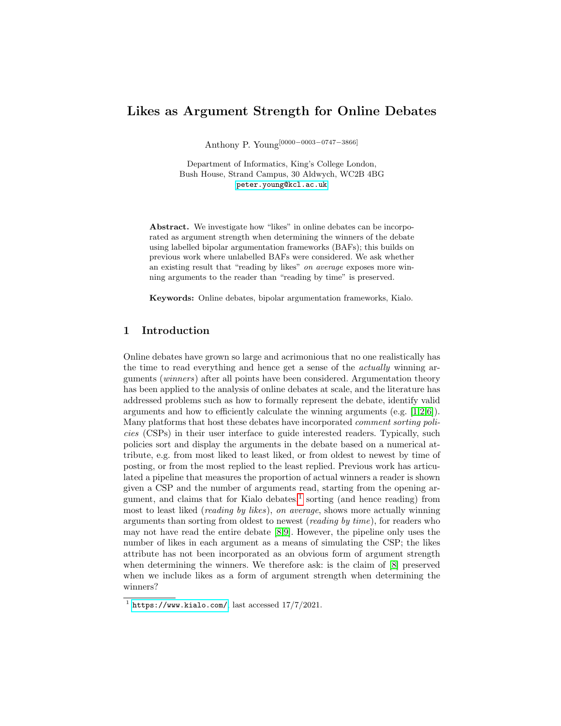# Likes as Argument Strength for Online Debates

Anthony P. Young[0000−0003−0747−3866]

Department of Informatics, King's College London, Bush House, Strand Campus, 30 Aldwych, WC2B 4BG [peter.young@kcl.ac.uk](mailto:peter.young@kcl.ac.uk)

Abstract. We investigate how "likes" in online debates can be incorporated as argument strength when determining the winners of the debate using labelled bipolar argumentation frameworks (BAFs); this builds on previous work where unlabelled BAFs were considered. We ask whether an existing result that "reading by likes" on average exposes more winning arguments to the reader than "reading by time" is preserved.

Keywords: Online debates, bipolar argumentation frameworks, Kialo.

## 1 Introduction

Online debates have grown so large and acrimonious that no one realistically has the time to read everything and hence get a sense of the actually winning arguments (winners) after all points have been considered. Argumentation theory has been applied to the analysis of online debates at scale, and the literature has addressed problems such as how to formally represent the debate, identify valid arguments and how to efficiently calculate the winning arguments (e.g.  $[1,2,6]$  $[1,2,6]$  $[1,2,6]$ ). Many platforms that host these debates have incorporated comment sorting policies (CSPs) in their user interface to guide interested readers. Typically, such policies sort and display the arguments in the debate based on a numerical attribute, e.g. from most liked to least liked, or from oldest to newest by time of posting, or from the most replied to the least replied. Previous work has articulated a pipeline that measures the proportion of actual winners a reader is shown given a CSP and the number of arguments read, starting from the opening argument, and claims that for Kialo debates, $<sup>1</sup>$  $<sup>1</sup>$  $<sup>1</sup>$  sorting (and hence reading) from</sup> most to least liked (reading by likes), on average, shows more actually winning arguments than sorting from oldest to newest (reading by time), for readers who may not have read the entire debate [\[8,](#page-3-3)[9\]](#page-3-4). However, the pipeline only uses the number of likes in each argument as a means of simulating the CSP; the likes attribute has not been incorporated as an obvious form of argument strength when determining the winners. We therefore ask: is the claim of [\[8\]](#page-3-3) preserved when we include likes as a form of argument strength when determining the winners?

<span id="page-0-0"></span> $1$  <https://www.kialo.com/>, last accessed  $17/7/2021$ .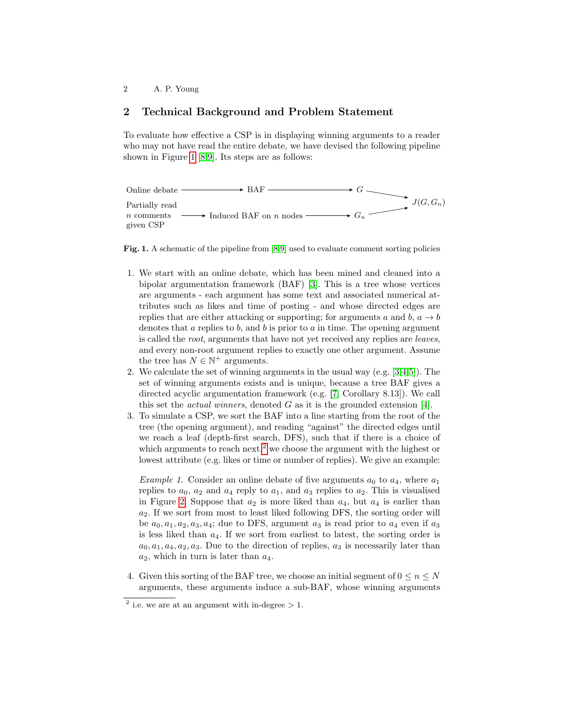### 2 Technical Background and Problem Statement

To evaluate how effective a CSP is in displaying winning arguments to a reader who may not have read the entire debate, we have devised the following pipeline shown in Figure [1](#page-1-0) [\[8,](#page-3-3)[9\]](#page-3-4). Its steps are as follows:



<span id="page-1-0"></span>Fig. 1. A schematic of the pipeline from [\[8,](#page-3-3)[9\]](#page-3-4) used to evaluate comment sorting policies

- 1. We start with an online debate, which has been mined and cleaned into a bipolar argumentation framework (BAF) [\[3\]](#page-3-5). This is a tree whose vertices are arguments - each argument has some text and associated numerical attributes such as likes and time of posting - and whose directed edges are replies that are either attacking or supporting; for arguments a and b,  $a \rightarrow b$ denotes that  $a$  replies to  $b$ , and  $b$  is prior to  $a$  in time. The opening argument is called the root, arguments that have not yet received any replies are leaves, and every non-root argument replies to exactly one other argument. Assume the tree has  $N \in \mathbb{N}^+$  arguments.
- 2. We calculate the set of winning arguments in the usual way (e.g. [\[3,](#page-3-5)[4,](#page-3-6)[5\]](#page-3-7)). The set of winning arguments exists and is unique, because a tree BAF gives a directed acyclic argumentation framework (e.g. [\[7,](#page-3-8) Corollary 8.13]). We call this set the *actual winners*, denoted  $G$  as it is the grounded extension [\[4\]](#page-3-6).
- 3. To simulate a CSP, we sort the BAF into a line starting from the root of the tree (the opening argument), and reading "against" the directed edges until we reach a leaf (depth-first search, DFS), such that if there is a choice of which arguments to reach next,<sup>[2](#page-1-1)</sup> we choose the argument with the highest or lowest attribute (e.g. likes or time or number of replies). We give an example:

<span id="page-1-2"></span>*Example 1.* Consider an online debate of five arguments  $a_0$  to  $a_4$ , where  $a_1$ replies to  $a_0$ ,  $a_2$  and  $a_4$  reply to  $a_1$ , and  $a_3$  replies to  $a_2$ . This is visualised in Figure [2.](#page-2-0) Suppose that  $a_2$  is more liked than  $a_4$ , but  $a_4$  is earlier than  $a_2$ . If we sort from most to least liked following DFS, the sorting order will be  $a_0, a_1, a_2, a_3, a_4$ ; due to DFS, argument  $a_3$  is read prior to  $a_4$  even if  $a_3$ is less liked than  $a_4$ . If we sort from earliest to latest, the sorting order is  $a_0, a_1, a_4, a_2, a_3$ . Due to the direction of replies,  $a_3$  is necessarily later than  $a_2$ , which in turn is later than  $a_4$ .

4. Given this sorting of the BAF tree, we choose an initial segment of  $0 \leq n \leq N$ arguments, these arguments induce a sub-BAF, whose winning arguments

<span id="page-1-1"></span><sup>&</sup>lt;sup>2</sup> i.e. we are at an argument with in-degree  $> 1$ .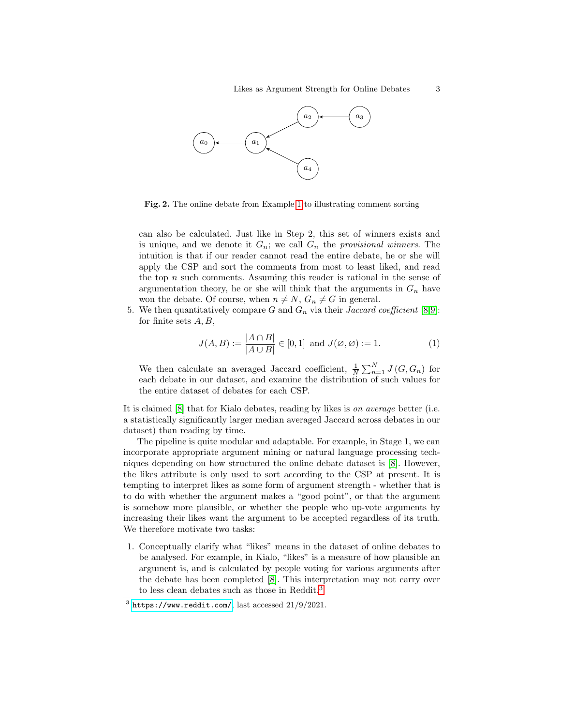

<span id="page-2-0"></span>Fig. 2. The online debate from Example [1](#page-1-2) to illustrating comment sorting

can also be calculated. Just like in Step 2, this set of winners exists and is unique, and we denote it  $G_n$ ; we call  $G_n$  the provisional winners. The intuition is that if our reader cannot read the entire debate, he or she will apply the CSP and sort the comments from most to least liked, and read the top  $n$  such comments. Assuming this reader is rational in the sense of argumentation theory, he or she will think that the arguments in  $G_n$  have won the debate. Of course, when  $n \neq N$ ,  $G_n \neq G$  in general.

5. We then quantitatively compare G and  $G_n$  via their *Jaccard coefficient* [\[8](#page-3-3)[,9\]](#page-3-4): for finite sets  $A, B$ ,

$$
J(A,B) := \frac{|A \cap B|}{|A \cup B|} \in [0,1] \text{ and } J(\emptyset, \emptyset) := 1.
$$
 (1)

We then calculate an averaged Jaccard coefficient,  $\frac{1}{N} \sum_{n=1}^{N} J(G, G_n)$  for each debate in our dataset, and examine the distribution of such values for the entire dataset of debates for each CSP.

It is claimed [\[8\]](#page-3-3) that for Kialo debates, reading by likes is on average better (i.e. a statistically significantly larger median averaged Jaccard across debates in our dataset) than reading by time.

The pipeline is quite modular and adaptable. For example, in Stage 1, we can incorporate appropriate argument mining or natural language processing techniques depending on how structured the online debate dataset is [\[8\]](#page-3-3). However, the likes attribute is only used to sort according to the CSP at present. It is tempting to interpret likes as some form of argument strength - whether that is to do with whether the argument makes a "good point", or that the argument is somehow more plausible, or whether the people who up-vote arguments by increasing their likes want the argument to be accepted regardless of its truth. We therefore motivate two tasks:

1. Conceptually clarify what "likes" means in the dataset of online debates to be analysed. For example, in Kialo, "likes" is a measure of how plausible an argument is, and is calculated by people voting for various arguments after the debate has been completed [\[8\]](#page-3-3). This interpretation may not carry over to less clean debates such as those in Reddit.[3](#page-2-1)

<span id="page-2-1"></span> $3$  <https://www.reddit.com/>, last accessed  $21/9/2021$ .